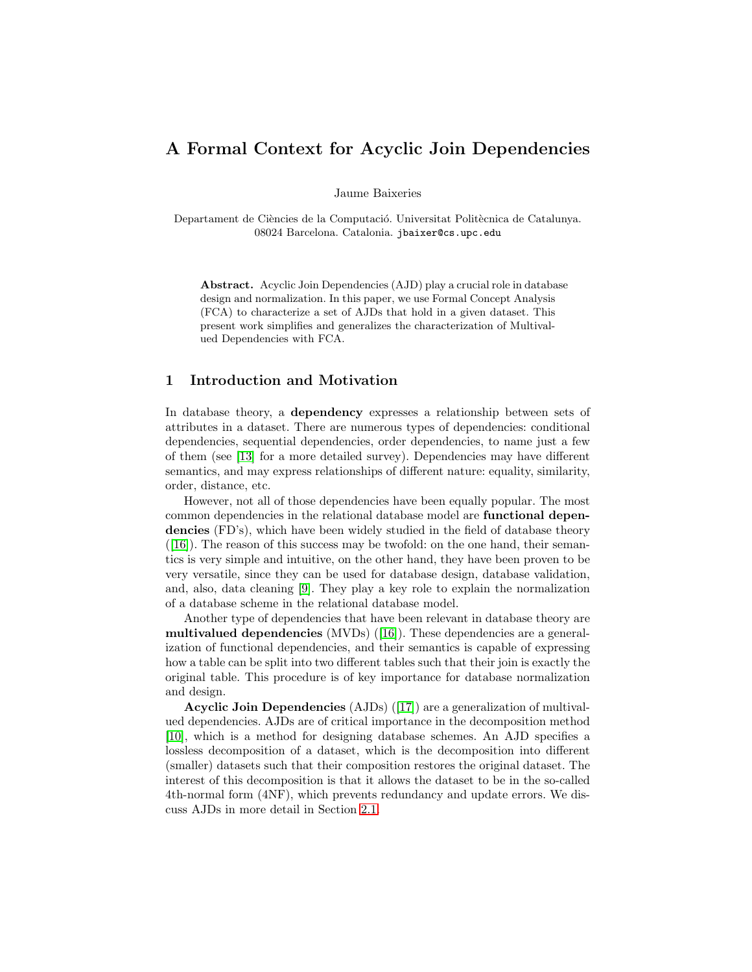# A Formal Context for Acyclic Join Dependencies

Jaume Baixeries

Departament de Ciències de la Computació. Universitat Politècnica de Catalunya. 08024 Barcelona. Catalonia. jbaixer@cs.upc.edu

Abstract. Acyclic Join Dependencies (AJD) play a crucial role in database design and normalization. In this paper, we use Formal Concept Analysis (FCA) to characterize a set of AJDs that hold in a given dataset. This present work simplifies and generalizes the characterization of Multivalued Dependencies with FCA.

# 1 Introduction and Motivation

In database theory, a dependency expresses a relationship between sets of attributes in a dataset. There are numerous types of dependencies: conditional dependencies, sequential dependencies, order dependencies, to name just a few of them (see [\[13\]](#page-9-0) for a more detailed survey). Dependencies may have different semantics, and may express relationships of different nature: equality, similarity, order, distance, etc.

However, not all of those dependencies have been equally popular. The most common dependencies in the relational database model are functional dependencies (FD's), which have been widely studied in the field of database theory  $([16])$  $([16])$  $([16])$ . The reason of this success may be twofold: on the one hand, their semantics is very simple and intuitive, on the other hand, they have been proven to be very versatile, since they can be used for database design, database validation, and, also, data cleaning [\[9\]](#page-9-2). They play a key role to explain the normalization of a database scheme in the relational database model.

Another type of dependencies that have been relevant in database theory are multivalued dependencies (MVDs) ([\[16\]](#page-9-1)). These dependencies are a generalization of functional dependencies, and their semantics is capable of expressing how a table can be split into two different tables such that their join is exactly the original table. This procedure is of key importance for database normalization and design.

Acyclic Join Dependencies (AJDs) ([\[17\]](#page-9-3)) are a generalization of multivalued dependencies. AJDs are of critical importance in the decomposition method [\[10\]](#page-9-4), which is a method for designing database schemes. An AJD specifies a lossless decomposition of a dataset, which is the decomposition into different (smaller) datasets such that their composition restores the original dataset. The interest of this decomposition is that it allows the dataset to be in the so-called 4th-normal form (4NF), which prevents redundancy and update errors. We discuss AJDs in more detail in Section [2.1.](#page-2-0)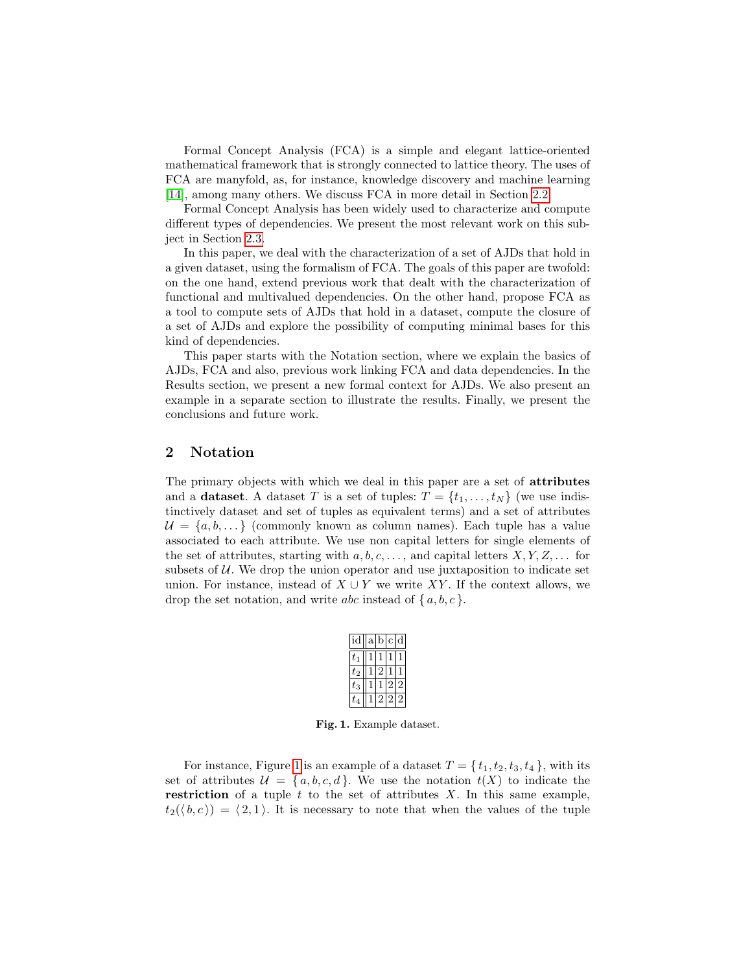Formal Concept Analysis (FCA) is a simple and elegant lattice-oriented mathematical framework that is strongly connected to lattice theory. The uses of FCA are manyfold, as, for instance, knowledge discovery and machine learning [\[14\]](#page-9-5), among many others. We discuss FCA in more detail in Section [2.2.](#page-5-0)

Formal Concept Analysis has been widely used to characterize and compute different types of dependencies. We present the most relevant work on this subject in Section [2.3.](#page-5-1)

In this paper, we deal with the characterization of a set of AJDs that hold in a given dataset, using the formalism of FCA. The goals of this paper are twofold: on the one hand, extend previous work that dealt with the characterization of functional and multivalued dependencies. On the other hand, propose FCA as a tool to compute sets of AJDs that hold in a dataset, compute the closure of a set of AJDs and explore the possibility of computing minimal bases for this kind of dependencies.

This paper starts with the Notation section, where we explain the basics of AJDs, FCA and also, previous work linking FCA and data dependencies. In the Results section, we present a new formal context for AJDs. We also present an example in a separate section to illustrate the results. Finally, we present the conclusions and future work.

# 2 Notation

The primary objects with which we deal in this paper are a set of attributes and a **dataset**. A dataset T is a set of tuples:  $T = \{t_1, \ldots, t_N\}$  (we use indistinctively dataset and set of tuples as equivalent terms) and a set of attributes  $\mathcal{U} = \{a, b, \dots\}$  (commonly known as column names). Each tuple has a value associated to each attribute. We use non capital letters for single elements of the set of attributes, starting with  $a, b, c, \ldots$ , and capital letters  $X, Y, Z, \ldots$  for subsets of  $U$ . We drop the union operator and use juxtaposition to indicate set union. For instance, instead of  $X \cup Y$  we write XY. If the context allows, we drop the set notation, and write *abc* instead of  $\{a, b, c\}$ .

| ı       | $\mathbf a$ | С |  |
|---------|-------------|---|--|
| $t_{1}$ |             |   |  |
| $t_{2}$ |             |   |  |
| tг      |             |   |  |
| t.      |             |   |  |

<span id="page-1-0"></span>Fig. 1. Example dataset.

For instance, Figure [1](#page-1-0) is an example of a dataset  $T = \{t_1, t_2, t_3, t_4\}$ , with its set of attributes  $\mathcal{U} = \{a, b, c, d\}$ . We use the notation  $t(X)$  to indicate the restriction of a tuple  $t$  to the set of attributes  $X$ . In this same example,  $t_2(\langle b, c \rangle) = \langle 2, 1 \rangle$ . It is necessary to note that when the values of the tuple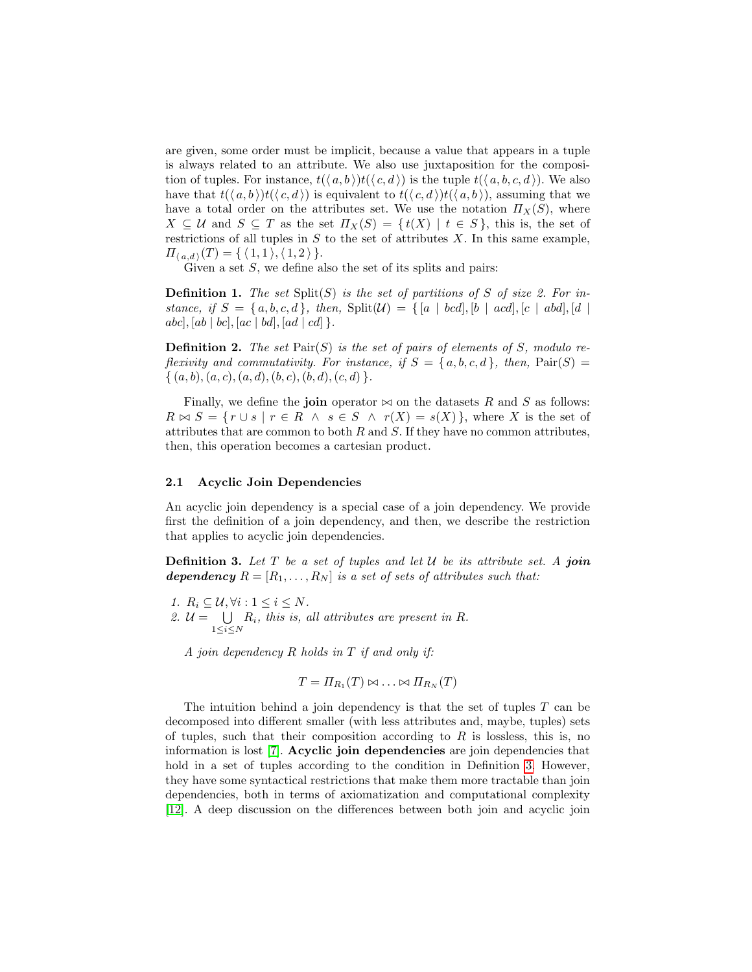are given, some order must be implicit, because a value that appears in a tuple is always related to an attribute. We also use juxtaposition for the composition of tuples. For instance,  $t(\langle a, b \rangle)t(\langle c, d \rangle)$  is the tuple  $t(\langle a, b, c, d \rangle)$ . We also have that  $t(\langle a, b \rangle)t(\langle c, d \rangle)$  is equivalent to  $t(\langle c, d \rangle)t(\langle a, b \rangle)$ , assuming that we have a total order on the attributes set. We use the notation  $\Pi_X(S)$ , where  $X \subseteq U$  and  $S \subseteq T$  as the set  $\Pi_X(S) = \{t(X) \mid t \in S\}$ , this is, the set of restrictions of all tuples in  $S$  to the set of attributes  $X$ . In this same example,  $\Pi_{\langle a,d \rangle}(T) = \{ \langle 1,1 \rangle, \langle 1, 2 \rangle \}.$ 

Given a set  $S$ , we define also the set of its splits and pairs:

**Definition 1.** The set  $Split(S)$  is the set of partitions of S of size 2. For instance, if  $S = \{a, b, c, d\}$ , then,  $Split(\mathcal{U}) = \{[a \mid bcd], [b \mid acd], [c \mid abd], [d \mid$  $abc$ ,  $[ab \, | \, bc]$ ,  $[ac \, | \, bd]$ ,  $[ad \, | \, cd]$ .

**Definition 2.** The set  $Pair(S)$  is the set of pairs of elements of S, modulo reflexivity and commutativity. For instance, if  $S = \{a, b, c, d\}$ , then,  $Pair(S) =$  $\{(a, b), (a, c), (a, d), (b, c), (b, d), (c, d)\}.$ 

Finally, we define the **join** operator  $\bowtie$  on the datasets R and S as follows:  $R \bowtie S = \{ r \cup s \mid r \in R \land s \in S \land r(X) = s(X) \},$  where X is the set of attributes that are common to both  $R$  and  $S$ . If they have no common attributes, then, this operation becomes a cartesian product.

### <span id="page-2-0"></span>2.1 Acyclic Join Dependencies

An acyclic join dependency is a special case of a join dependency. We provide first the definition of a join dependency, and then, we describe the restriction that applies to acyclic join dependencies.

<span id="page-2-1"></span>**Definition 3.** Let  $T$  be a set of tuples and let  $U$  be its attribute set. A join dependency  $R = [R_1, \ldots, R_N]$  is a set of sets of attributes such that:

1.  $R_i \subseteq \mathcal{U}, \forall i : 1 \leq i \leq N$ . 2.  $U = \bigcup$  $\bigcup_{1 \leq i \leq N} R_i$ , this is, all attributes are present in R.

A join dependency  $R$  holds in  $T$  if and only if:

$$
T = \Pi_{R_1}(T) \bowtie \ldots \bowtie \Pi_{R_N}(T)
$$

The intuition behind a join dependency is that the set of tuples  $T$  can be decomposed into different smaller (with less attributes and, maybe, tuples) sets of tuples, such that their composition according to  $R$  is lossless, this is, no information is lost [\[7\]](#page-9-6). Acyclic join dependencies are join dependencies that hold in a set of tuples according to the condition in Definition [3.](#page-2-1) However, they have some syntactical restrictions that make them more tractable than join dependencies, both in terms of axiomatization and computational complexity [\[12\]](#page-9-7). A deep discussion on the differences between both join and acyclic join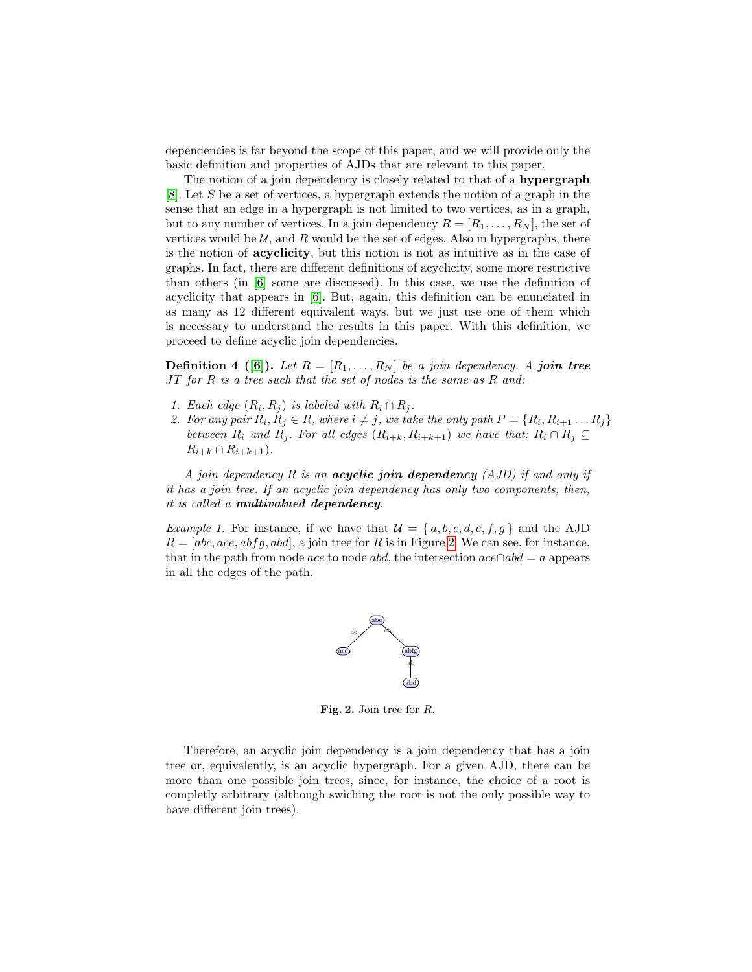dependencies is far beyond the scope of this paper, and we will provide only the basic definition and properties of AJDs that are relevant to this paper.

The notion of a join dependency is closely related to that of a hypergraph [\[8\]](#page-9-8). Let S be a set of vertices, a hypergraph extends the notion of a graph in the sense that an edge in a hypergraph is not limited to two vertices, as in a graph, but to any number of vertices. In a join dependency  $R = [R_1, \ldots, R_N]$ , the set of vertices would be  $U$ , and R would be the set of edges. Also in hypergraphs, there is the notion of acyclicity, but this notion is not as intuitive as in the case of graphs. In fact, there are different definitions of acyclicity, some more restrictive than others (in [\[6\]](#page-9-9) some are discussed). In this case, we use the definition of acyclicity that appears in [\[6\]](#page-9-9). But, again, this definition can be enunciated in as many as 12 different equivalent ways, but we just use one of them which is necessary to understand the results in this paper. With this definition, we proceed to define acyclic join dependencies.

**Definition 4** ([\[6\]](#page-9-9)). Let  $R = [R_1, \ldots, R_N]$  be a join dependency. A join tree  $JT$  for  $R$  is a tree such that the set of nodes is the same as  $R$  and:

- 1. Each edge  $(R_i, R_j)$  is labeled with  $R_i \cap R_j$ .
- 2. For any pair  $R_i, R_j \in R$ , where  $i \neq j$ , we take the only path  $P = \{R_i, R_{i+1} \dots R_j\}$ between  $R_i$  and  $R_j$ . For all edges  $(R_{i+k}, R_{i+k+1})$  we have that:  $R_i \cap R_j \subseteq$  $R_{i+k} \cap R_{i+k+1}$ ).

A join dependency  $R$  is an **acyclic join dependency** (AJD) if and only if it has a join tree. If an acyclic join dependency has only two components, then, it is called a multivalued dependency.

<span id="page-3-1"></span>*Example 1.* For instance, if we have that  $\mathcal{U} = \{a, b, c, d, e, f, g\}$  and the AJD  $R = [abc, ace, abfg, abd],$  a join tree for R is in Figure [2.](#page-3-0) We can see, for instance, that in the path from node ace to node abd, the intersection  $ace \cap abd = a$  appears in all the edges of the path.



<span id="page-3-0"></span>Fig. 2. Join tree for R.

Therefore, an acyclic join dependency is a join dependency that has a join tree or, equivalently, is an acyclic hypergraph. For a given AJD, there can be more than one possible join trees, since, for instance, the choice of a root is completly arbitrary (although swiching the root is not the only possible way to have different join trees).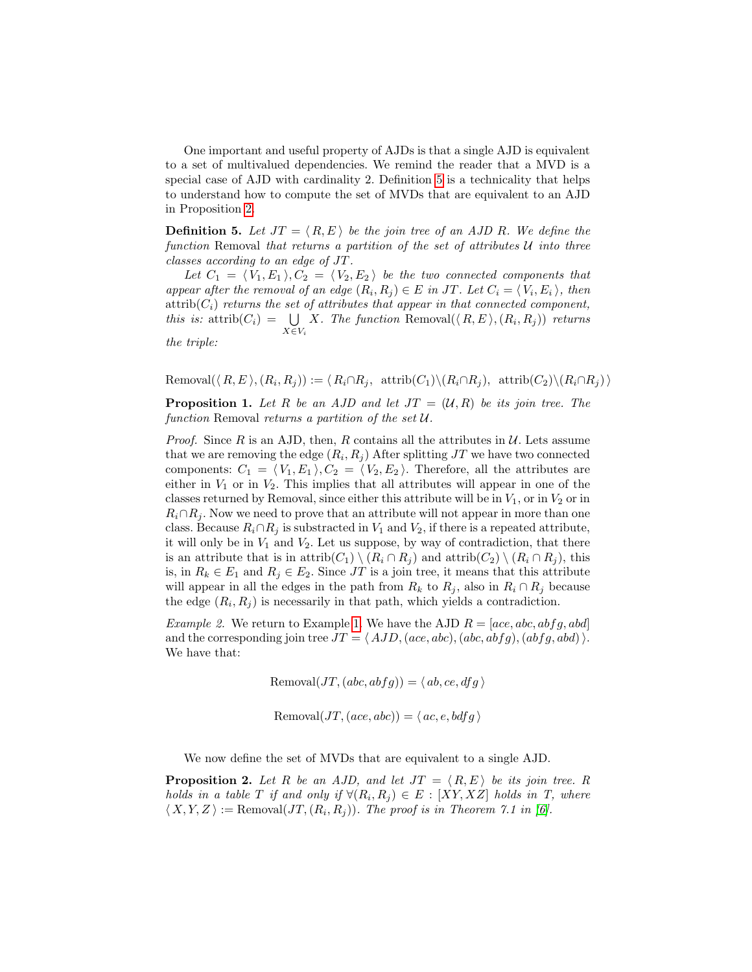One important and useful property of AJDs is that a single AJD is equivalent to a set of multivalued dependencies. We remind the reader that a MVD is a special case of AJD with cardinality 2. Definition [5](#page-4-0) is a technicality that helps to understand how to compute the set of MVDs that are equivalent to an AJD in Proposition [2.](#page-4-1)

<span id="page-4-0"></span>**Definition 5.** Let  $JT = \langle R, E \rangle$  be the join tree of an AJD R. We define the function Removal that returns a partition of the set of attributes  $U$  into three classes according to an edge of JT.

Let  $C_1 = \langle V_1, E_1 \rangle, C_2 = \langle V_2, E_2 \rangle$  be the two connected components that appear after the removal of an edge  $(R_i, R_j) \in E$  in JT. Let  $C_i = \langle V_i, E_i \rangle$ , then  $\text{attribute}$  attrib $(C_i)$  returns the set of attributes that appear in that connected component, this is:  $\text{attrib}(C_i) = \bigcup X$ . The function Removal $(\langle R, E \rangle, (R_i, R_j))$  returns  $X\bar{\in}V_i$ the triple:

Removal $(\langle R, E \rangle, (R_i, R_j)) := \langle R_i \cap R_j, \text{ attrib}(C_1) \setminus (R_i \cap R_j), \text{ attrib}(C_2) \setminus (R_i \cap R_j) \rangle$ 

**Proposition 1.** Let R be an AJD and let  $JT = (\mathcal{U}, R)$  be its join tree. The function Removal returns a partition of the set  $U$ .

*Proof.* Since R is an AJD, then, R contains all the attributes in  $\mathcal{U}$ . Lets assume that we are removing the edge  $(R_i, R_j)$  After splitting  $JT$  we have two connected components:  $C_1 = \langle V_1, E_1 \rangle, C_2 = \langle V_2, E_2 \rangle$ . Therefore, all the attributes are either in  $V_1$  or in  $V_2$ . This implies that all attributes will appear in one of the classes returned by Removal, since either this attribute will be in  $V_1$ , or in  $V_2$  or in  $R_i \cap R_i$ . Now we need to prove that an attribute will not appear in more than one class. Because  $R_i \cap R_j$  is substracted in  $V_1$  and  $V_2$ , if there is a repeated attribute, it will only be in  $V_1$  and  $V_2$ . Let us suppose, by way of contradiction, that there is an attribute that is in attrib $(C_1) \setminus (R_i \cap R_j)$  and attrib $(C_2) \setminus (R_i \cap R_j)$ , this is, in  $R_k \in E_1$  and  $R_j \in E_2$ . Since JT is a join tree, it means that this attribute will appear in all the edges in the path from  $R_k$  to  $R_j$ , also in  $R_i \cap R_j$  because the edge  $(R_i, R_j)$  is necessarily in that path, which yields a contradiction.

*Example 2.* We return to Example [1.](#page-3-1) We have the AJD  $R = [ace, abc, abfg, abd]$ and the corresponding join tree  $JT = \langle AJD, (ace, abc), (abc, abfg), (abfg, abd) \rangle.$ We have that:

Removal $(JT, (abc, abfg)) = \langle ab, ce, dfg \rangle$ 

Removal $(JT, (ace, abc)) = \langle ac, e, bdfg \rangle$ 

We now define the set of MVDs that are equivalent to a single AJD.

<span id="page-4-1"></span>**Proposition 2.** Let R be an AJD, and let  $JT = \langle R, E \rangle$  be its join tree. R holds in a table T if and only if  $\forall (R_i, R_j) \in E : [XY, XZ]$  holds in T, where  $\langle X, Y, Z \rangle :=$  Removal $(JT, (R_i, R_j))$ . The proof is in Theorem 7.1 in [\[6\]](#page-9-9).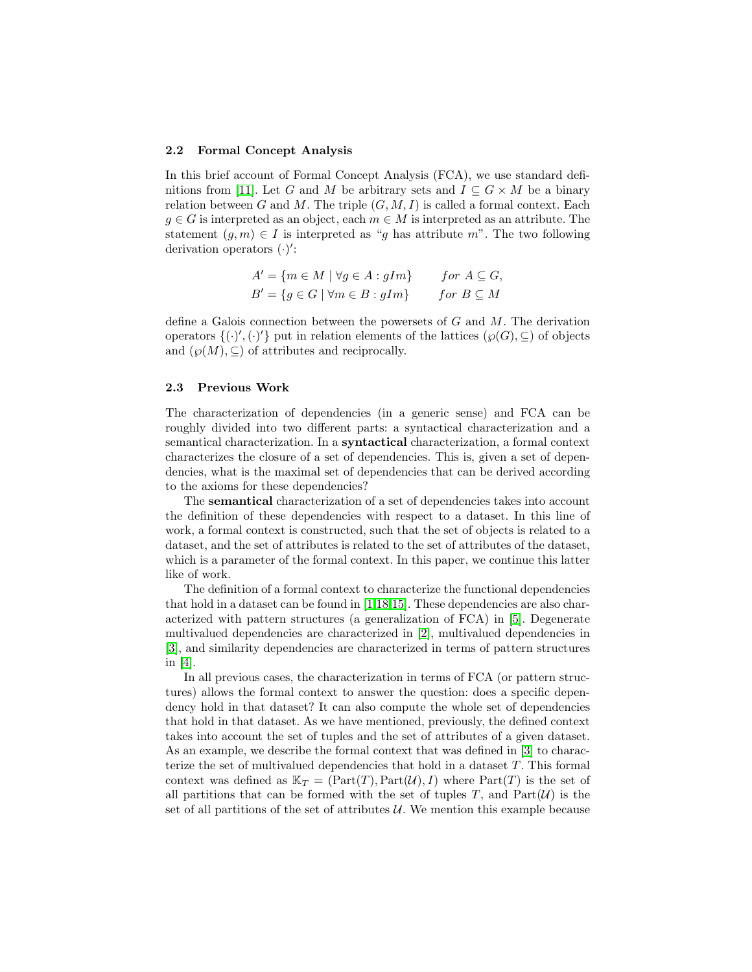#### <span id="page-5-0"></span>2.2 Formal Concept Analysis

In this brief account of Formal Concept Analysis (FCA), we use standard defi-nitions from [\[11\]](#page-9-10). Let G and M be arbitrary sets and  $I \subseteq G \times M$  be a binary relation between G and M. The triple  $(G, M, I)$  is called a formal context. Each  $q \in G$  is interpreted as an object, each  $m \in M$  is interpreted as an attribute. The statement  $(g, m) \in I$  is interpreted as "g has attribute m". The two following derivation operators  $(\cdot)'$ :

$$
A' = \{ m \in M \mid \forall g \in A : gIm \} \quad \text{for } A \subseteq G,
$$
  

$$
B' = \{ g \in G \mid \forall m \in B : gIm \} \quad \text{for } B \subseteq M
$$

define a Galois connection between the powersets of  $G$  and  $M$ . The derivation operators  $\{(\cdot)'$ ,  $(\cdot)'\}$  put in relation elements of the lattices  $(\wp(G), \subseteq)$  of objects and  $(\wp(M), \subseteq)$  of attributes and reciprocally.

#### <span id="page-5-1"></span>2.3 Previous Work

The characterization of dependencies (in a generic sense) and FCA can be roughly divided into two different parts: a syntactical characterization and a semantical characterization. In a syntactical characterization, a formal context characterizes the closure of a set of dependencies. This is, given a set of dependencies, what is the maximal set of dependencies that can be derived according to the axioms for these dependencies?

The semantical characterization of a set of dependencies takes into account the definition of these dependencies with respect to a dataset. In this line of work, a formal context is constructed, such that the set of objects is related to a dataset, and the set of attributes is related to the set of attributes of the dataset, which is a parameter of the formal context. In this paper, we continue this latter like of work.

The definition of a formal context to characterize the functional dependencies that hold in a dataset can be found in  $[1,18,15]$  $[1,18,15]$  $[1,18,15]$ . These dependencies are also characterized with pattern structures (a generalization of FCA) in [\[5\]](#page-9-14). Degenerate multivalued dependencies are characterized in [\[2\]](#page-9-15), multivalued dependencies in [\[3\]](#page-9-16), and similarity dependencies are characterized in terms of pattern structures in [\[4\]](#page-9-17).

In all previous cases, the characterization in terms of FCA (or pattern structures) allows the formal context to answer the question: does a specific dependency hold in that dataset? It can also compute the whole set of dependencies that hold in that dataset. As we have mentioned, previously, the defined context takes into account the set of tuples and the set of attributes of a given dataset. As an example, we describe the formal context that was defined in [\[3\]](#page-9-16) to characterize the set of multivalued dependencies that hold in a dataset T. This formal context was defined as  $\mathbb{K}_T = (\text{Part}(T), \text{Part}(\mathcal{U}), I)$  where  $\text{Part}(T)$  is the set of all partitions that can be formed with the set of tuples  $T$ , and  $Part(\mathcal{U})$  is the set of all partitions of the set of attributes  $U$ . We mention this example because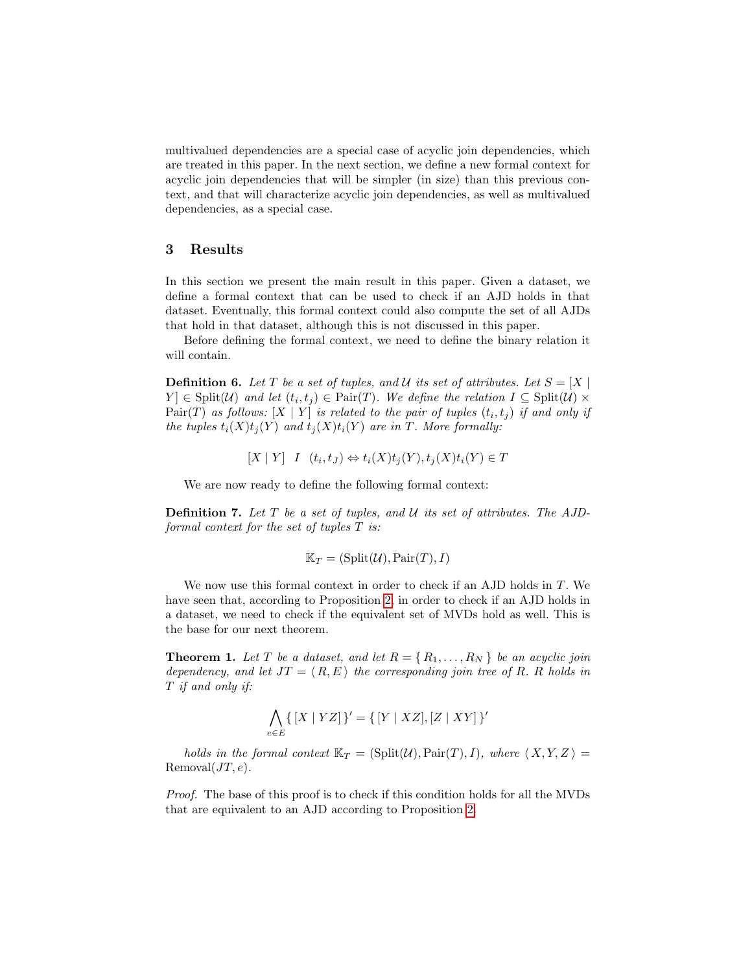multivalued dependencies are a special case of acyclic join dependencies, which are treated in this paper. In the next section, we define a new formal context for acyclic join dependencies that will be simpler (in size) than this previous context, and that will characterize acyclic join dependencies, as well as multivalued dependencies, as a special case.

# 3 Results

In this section we present the main result in this paper. Given a dataset, we define a formal context that can be used to check if an AJD holds in that dataset. Eventually, this formal context could also compute the set of all AJDs that hold in that dataset, although this is not discussed in this paper.

Before defining the formal context, we need to define the binary relation it will contain.

**Definition 6.** Let T be a set of tuples, and U its set of attributes. Let  $S = [X]$  $Y$   $\in$  Split(U) and let  $(t_i, t_j) \in \text{Pair}(T)$ . We define the relation  $I \subseteq \text{Split}(U) \times$  $Pair(T)$  as follows:  $[X \mid Y]$  is related to the pair of tuples  $(t_i, t_j)$  if and only if the tuples  $t_i(X)t_i(Y)$  and  $t_i(X)t_i(Y)$  are in T. More formally:

$$
[X \mid Y] \quad I \quad (t_i, t_J) \Leftrightarrow t_i(X)t_j(Y), t_j(X)t_i(Y) \in T
$$

We are now ready to define the following formal context:

**Definition 7.** Let  $T$  be a set of tuples, and  $U$  its set of attributes. The AJDformal context for the set of tuples T is:

$$
\mathbb{K}_T = (\text{Split}(\mathcal{U}), \text{Pair}(T), I)
$$

We now use this formal context in order to check if an AJD holds in T. We have seen that, according to Proposition [2,](#page-4-1) in order to check if an AJD holds in a dataset, we need to check if the equivalent set of MVDs hold as well. This is the base for our next theorem.

**Theorem 1.** Let T be a dataset, and let  $R = \{R_1, \ldots, R_N\}$  be an acyclic join dependency, and let  $JT = \langle R, E \rangle$  the corresponding join tree of R. R holds in T if and only if:

$$
\bigwedge_{e \in E} \{ [X \mid YZ] \}' = \{ [Y \mid XZ], [Z \mid XY] \}'
$$

holds in the formal context  $\mathbb{K}_T = (\text{Split}(\mathcal{U}), \text{Pair}(T), I)$ , where  $\langle X, Y, Z \rangle =$ Removal $(JT, e)$ .

Proof. The base of this proof is to check if this condition holds for all the MVDs that are equivalent to an AJD according to Proposition [2.](#page-4-1)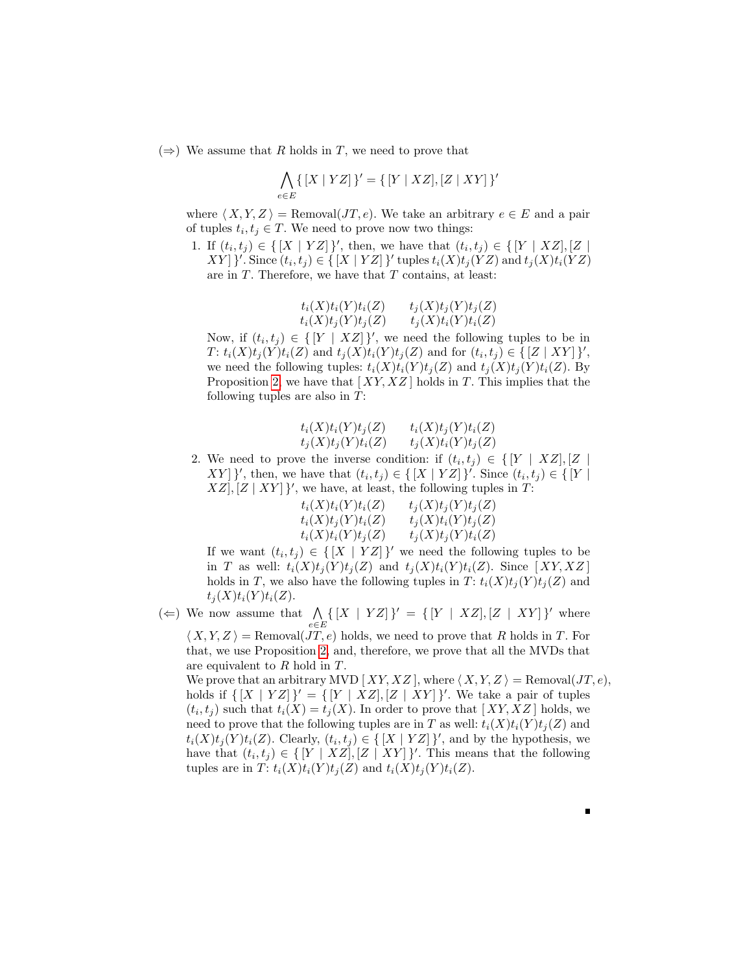$(\Rightarrow)$  We assume that R holds in T, we need to prove that

$$
\bigwedge_{e \in E} \{ [X \mid YZ] \}' = \{ [Y \mid XZ], [Z \mid XY] \}'
$$

where  $\langle X, Y, Z \rangle$  = Removal(*JT*, *e*). We take an arbitrary  $e \in E$  and a pair of tuples  $t_i, t_j \in T$ . We need to prove now two things:

1. If  $(t_i, t_j) \in \{ [X | YZ] \}'$ , then, we have that  $(t_i, t_j) \in \{ [Y | XZ], [Z |$  $XY$  }'. Since  $(t_i, t_j) \in \{ [X | YZ] \}'$  tuples  $t_i(X)t_j(YZ)$  and  $t_j(X)t_i(YZ)$ are in  $T$ . Therefore, we have that  $T$  contains, at least:

$$
t_i(X)t_i(Y)t_i(Z) \t t_j(X)t_j(Y)t_j(Z) t_i(X)t_j(Y)t_j(Z) \t t_j(X)t_i(Y)t_i(Z)
$$

Now, if  $(t_i, t_j) \in \{ [Y \mid XZ] \}'$ , we need the following tuples to be in  $T: t_i(X)t_j(Y)t_i(Z)$  and  $t_j(X)t_i(Y)t_j(Z)$  and for  $(t_i, t_j) \in \{ [Z | XY] \}'$ , we need the following tuples:  $t_i(X)t_i(Y)t_i(Z)$  and  $t_i(X)t_i(Y)t_i(Z)$ . By Proposition [2,](#page-4-1) we have that  $[XY, XZ]$  holds in T. This implies that the following tuples are also in  $T$ :

$$
t_i(X)t_i(Y)t_j(Z) \qquad t_i(X)t_j(Y)t_i(Z)
$$
  

$$
t_j(X)t_j(Y)t_i(Z) \qquad t_j(X)t_i(Y)t_j(Z)
$$

2. We need to prove the inverse condition: if  $(t_i, t_j) \in \{ [Y \mid XZ], [Z \mid$  $XY$ ] }', then, we have that  $(t_i, t_j) \in \{[X | YZ]\}^j$ . Since  $(t_i, t_j) \in \{[Y | YZ]\}^j$ .  $XZ$ ,  $[Z | XY]$ ', we have, at least, the following tuples in T:

| $t_i(X)t_i(Y)t_i(Z)$ | $t_j(X)t_j(Y)t_j(Z)$ |
|----------------------|----------------------|
| $t_i(X)t_j(Y)t_i(Z)$ | $t_j(X)t_i(Y)t_j(Z)$ |
| $t_i(X)t_i(Y)t_j(Z)$ | $t_j(X)t_j(Y)t_i(Z)$ |

If we want  $(t_i, t_j) \in \{[X \mid YZ]\}'$  we need the following tuples to be in T as well:  $t_i(X)t_j(Y)t_j(Z)$  and  $t_j(X)t_i(Y)t_i(Z)$ . Since [XY, XZ] holds in T, we also have the following tuples in T:  $t_i(X)t_i(Y)t_i(Z)$  and  $t_i(X)t_i(Y)t_i(Z).$ 

 $(\Leftarrow)$  We now assume that  $\bigwedge$ e∈E  $\{[X \mid YZ]\}' = \{[Y \mid XZ], [Z \mid XY]\}'$  where

 $\langle X, Y, Z \rangle =$ Removal $(JT, e)$  holds, we need to prove that R holds in T. For that, we use Proposition [2,](#page-4-1) and, therefore, we prove that all the MVDs that are equivalent to R hold in T.

We prove that an arbitrary MVD [XY, XZ], where  $\langle X, Y, Z \rangle =$  Removal $(JT, e)$ , holds if  $\{[X | YZ]\}' = \{[Y | XZ], [Z | XY]\}'$ . We take a pair of tuples  $(t_i, t_j)$  such that  $t_i(X) = t_j(X)$ . In order to prove that  $[XY, XZ]$  holds, we need to prove that the following tuples are in T as well:  $t_i(X)t_i(Y)t_i(Z)$  and  $t_i(X)t_j(Y)t_i(Z)$ . Clearly,  $(t_i, t_j) \in \{ [X | YZ] \}'$ , and by the hypothesis, we have that  $(t_i, t_j) \in \{ [Y \mid XZ], [Z \mid XY] \}'$ . This means that the following tuples are in  $T: t_i(X)t_i(Y)t_j(Z)$  and  $t_i(X)t_j(Y)t_i(Z)$ .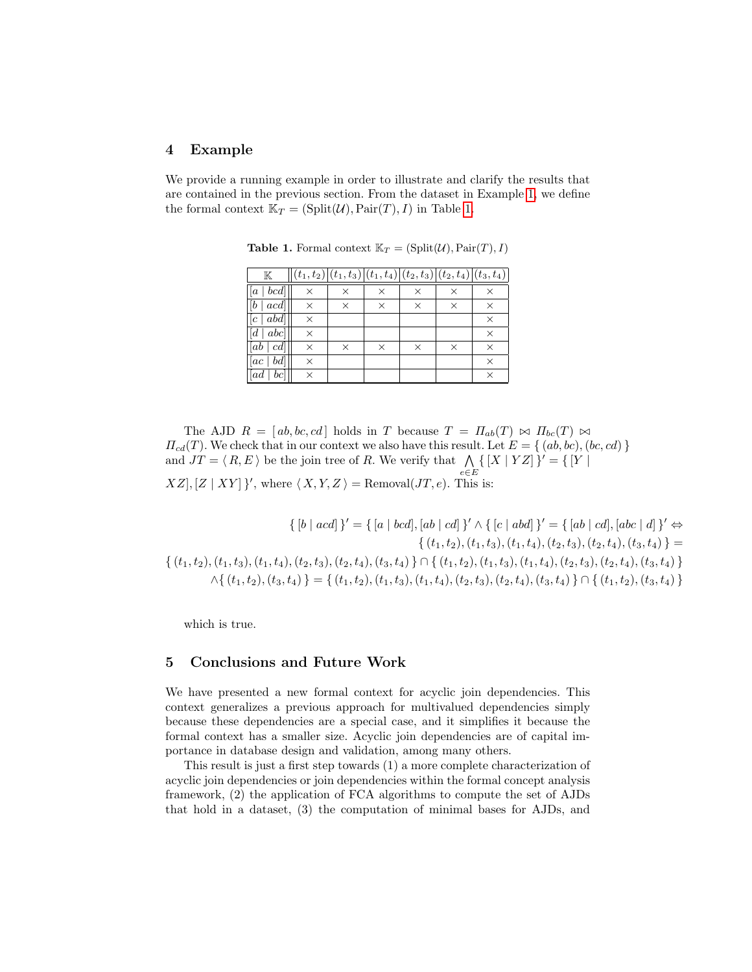### 4 Example

We provide a running example in order to illustrate and clarify the results that are contained in the previous section. From the dataset in Example [1,](#page-1-0) we define the formal context  $\mathbb{K}_T = (\text{Split}(\mathcal{U}), \text{Pair}(T), I)$  in Table [1.](#page-8-0)

| $\mathbb K$                           | $\bigl\  (t_1,t_2) \bigl  (t_1,t_3) \bigl  (t_1,t_4) \bigl  (t_2,t_3) \bigl  (t_2,t_4) \bigl  (t_3,t_4) \bigr $ |          |          |   |          |          |
|---------------------------------------|-----------------------------------------------------------------------------------------------------------------|----------|----------|---|----------|----------|
| $\vert\vert a\,\vert\, bcd\vert\vert$ | $\times$                                                                                                        | X        | ×        | × | ×        | ×        |
| $\vert [b \mid acd] \vert$            | ×                                                                                                               | $\times$ | $\times$ | X | $\times$ | X        |
| $\vert\vert c \mid abd \vert\vert$    | $\times$                                                                                                        |          |          |   |          | $\times$ |
| $\vert\vert d \mid abc \vert\vert$    | $\times$                                                                                                        |          |          |   |          | $\times$ |
| $\vert\vert ab\,\vert\, cd\vert\vert$ | $\times$                                                                                                        | $\times$ | X        | × | X        | ×        |
| $\left[ac\mid bd\right]$              | $\times$                                                                                                        |          |          |   |          | $\times$ |
| ad   bc                               | ×                                                                                                               |          |          |   |          | ×        |

<span id="page-8-0"></span>**Table 1.** Formal context  $\mathbb{K}_T = (\text{Split}(\mathcal{U}), \text{Pair}(T), I)$ 

The AJD  $R = [ab, bc, cd]$  holds in T because  $T = \Pi_{ab}(T) \bowtie \Pi_{bc}(T) \bowtie$  $\Pi_{cd}(T)$ . We check that in our context we also have this result. Let  $E = \{ (ab, bc), (bc, cd) \}$ and  $JT = \langle R, E \rangle$  be the join tree of R. We verify that  $\bigwedge$ e∈E  $\{[X | YZ]\}' = \{[Y]$  $XZ$ ,  $[Z | XY]$ , where  $\langle X, Y, Z \rangle$  = Removal(*JT*, *e*). This is:

$$
\{ [b \mid acd] \}' = \{ [a \mid bcd], [ab \mid cd] \}' \wedge \{ [c \mid abd] \}' = \{ [ab \mid cd], [abc \mid d] \}' \Leftrightarrow \{ (t_1, t_2), (t_1, t_3), (t_1, t_4), (t_2, t_3), (t_1, t_4), (t_3, t_4) \} = \{ (t_1, t_2), (t_1, t_3), (t_1, t_4), (t_2, t_3), (t_2, t_4), (t_3, t_4) \} \cap \{ (t_1, t_2), (t_1, t_3), (t_1, t_4), (t_2, t_3), (t_2, t_4), (t_3, t_4) \} \wedge \{ (t_1, t_2), (t_3, t_4) \} = \{ (t_1, t_2), (t_1, t_3), (t_1, t_4), (t_2, t_3), (t_2, t_4), (t_3, t_4) \} \cap \{ (t_1, t_2), (t_3, t_4) \}
$$

which is true.

# 5 Conclusions and Future Work

We have presented a new formal context for acyclic join dependencies. This context generalizes a previous approach for multivalued dependencies simply because these dependencies are a special case, and it simplifies it because the formal context has a smaller size. Acyclic join dependencies are of capital importance in database design and validation, among many others.

This result is just a first step towards (1) a more complete characterization of acyclic join dependencies or join dependencies within the formal concept analysis framework, (2) the application of FCA algorithms to compute the set of AJDs that hold in a dataset, (3) the computation of minimal bases for AJDs, and